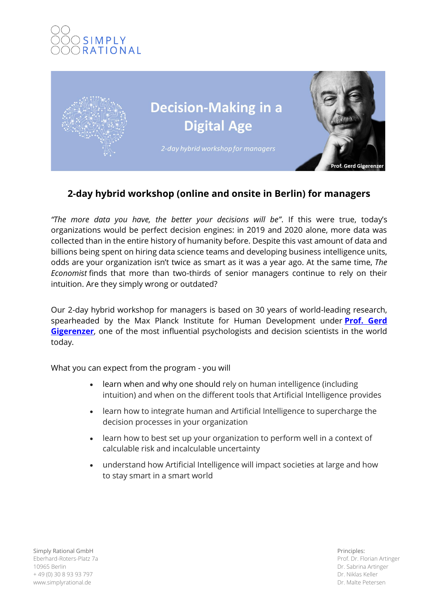



# **2-day hybrid workshop (online and onsite in Berlin) for managers**

*"The more data you have, the better your decisions will be"*. If this were true, today's organizations would be perfect decision engines: in 2019 and 2020 alone, more data was collected than in the entire history of humanity before. Despite this vast amount of data and billions being spent on hiring data science teams and developing business intelligence units, odds are your organization isn't twice as smart as it was a year ago. At the same time, *The Economist* finds that more than two-thirds of senior managers continue to rely on their intuition. Are they simply wrong or outdated?

Our 2-day hybrid workshop for managers is based on 30 years of world-leading research, spearheaded by the Max Planck Institute for Human Development under **[Prof. Gerd](https://www.mpib-berlin.mpg.de/en/staff/gerd-gigerenzer)  [Gigerenzer](https://www.mpib-berlin.mpg.de/en/staff/gerd-gigerenzer)**, one of the most influential psychologists and decision scientists in the world today.

What you can expect from the program - you will

- learn when and why one should rely on human intelligence (including intuition) and when on the different tools that Artificial Intelligence provides
- learn how to integrate human and Artificial Intelligence to supercharge the decision processes in your organization
- learn how to best set up your organization to perform well in a context of calculable risk and incalculable uncertainty
- understand how Artificial Intelligence will impact societies at large and how to stay smart in a smart world

Simply Rational GmbH Eberhard-Roters-Platz 7a 10965 Berlin + 49 (0) 30 8 93 93 797 www.simplyrational.de

Principles: Prof. Dr. Florian Artinger Dr. Sabrina Artinger Dr. Niklas Keller Dr. Malte Petersen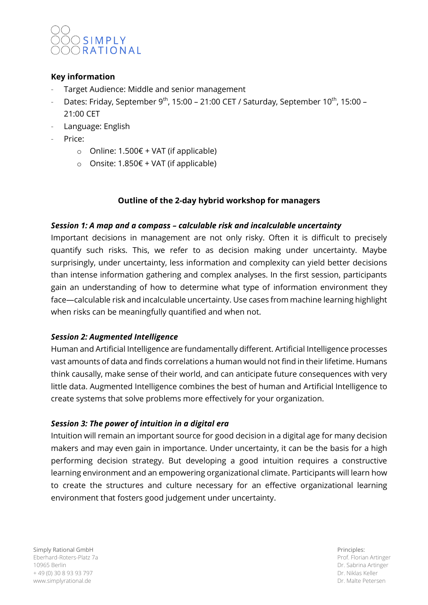

# **Key information**

- Target Audience: Middle and senior management
- Dates: Friday, September 9<sup>th</sup>, 15:00 21:00 CET / Saturday, September 10<sup>th</sup>, 15:00 21:00 CET
- Language: English
- Price:
	- o Online: 1.500€ + VAT (if applicable)
	- o Onsite: 1.850€ + VAT (if applicable)

# **Outline of the 2-day hybrid workshop for managers**

# *Session 1: A map and a compass – calculable risk and incalculable uncertainty*

Important decisions in management are not only risky. Often it is difficult to precisely quantify such risks. This, we refer to as decision making under uncertainty. Maybe surprisingly, under uncertainty, less information and complexity can yield better decisions than intense information gathering and complex analyses. In the first session, participants gain an understanding of how to determine what type of information environment they face—calculable risk and incalculable uncertainty. Use cases from machine learning highlight when risks can be meaningfully quantified and when not.

# *Session 2: Augmented Intelligence*

Human and Artificial Intelligence are fundamentally different. Artificial Intelligence processes vast amounts of data and finds correlations a human would not find in their lifetime. Humans think causally, make sense of their world, and can anticipate future consequences with very little data. Augmented Intelligence combines the best of human and Artificial Intelligence to create systems that solve problems more effectively for your organization.

# *Session 3: The power of intuition in a digital era*

Intuition will remain an important source for good decision in a digital age for many decision makers and may even gain in importance. Under uncertainty, it can be the basis for a high performing decision strategy. But developing a good intuition requires a constructive learning environment and an empowering organizational climate. Participants will learn how to create the structures and culture necessary for an effective organizational learning environment that fosters good judgement under uncertainty.

Simply Rational GmbH Eberhard-Roters-Platz 7a 10965 Berlin + 49 (0) 30 8 93 93 797 www.simplyrational.de

Principles: Prof. Florian Artinger Dr. Sabrina Artinger Dr. Niklas Keller Dr. Malte Petersen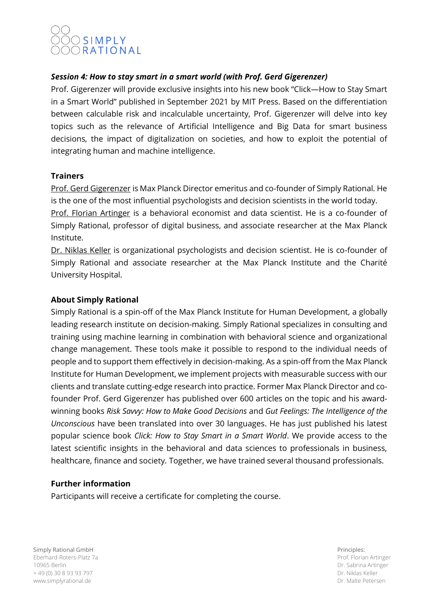# SIMPLY ORATIONAL

# *Session 4: How to stay smart in a smart world (with Prof. Gerd Gigerenzer)*

Prof. Gigerenzer will provide exclusive insights into his new book "Click—How to Stay Smart in a Smart World" published in September 2021 by MIT Press. Based on the differentiation between calculable risk and incalculable uncertainty, Prof. Gigerenzer will delve into key topics such as the relevance of Artificial Intelligence and Big Data for smart business decisions, the impact of digitalization on societies, and how to exploit the potential of integrating human and machine intelligence.

# **Trainers**

Prof. Gerd Gigerenzer is Max Planck Director emeritus and co-founder of Simply Rational. He is the one of the most influential psychologists and decision scientists in the world today.

Prof. Florian Artinger is a behavioral economist and data scientist. He is a co-founder of Simply Rational, professor of digital business, and associate researcher at the Max Planck Institute.

Dr. Niklas Keller is organizational psychologists and decision scientist. He is co-founder of Simply Rational and associate researcher at the Max Planck Institute and the Charité University Hospital.

# **About Simply Rational**

Simply Rational is a spin-off of the Max Planck Institute for Human Development, a globally leading research institute on decision-making. Simply Rational specializes in consulting and training using machine learning in combination with behavioral science and organizational change management. These tools make it possible to respond to the individual needs of people and to support them effectively in decision-making. As a spin-off from the Max Planck Institute for Human Development, we implement projects with measurable success with our clients and translate cutting-edge research into practice. Former Max Planck Director and cofounder Prof. Gerd Gigerenzer has published over 600 articles on the topic and his awardwinning books *Risk Savvy: How to Make Good Decisions* and *Gut Feelings: The Intelligence of the Unconscious* have been translated into over 30 languages. He has just published his latest popular science book *Click: How to Stay Smart in a Smart World*. We provide access to the latest scientific insights in the behavioral and data sciences to professionals in business, healthcare, finance and society. Together, we have trained several thousand professionals.

# **Further information**

Participants will receive a certificate for completing the course.

Simply Rational GmbH Eberhard-Roters-Platz 7a 10965 Berlin + 49 (0) 30 8 93 93 797 www.simplyrational.de

Principles: Prof. Florian Artinger Dr. Sabrina Artinger Dr. Niklas Keller Dr. Malte Petersen